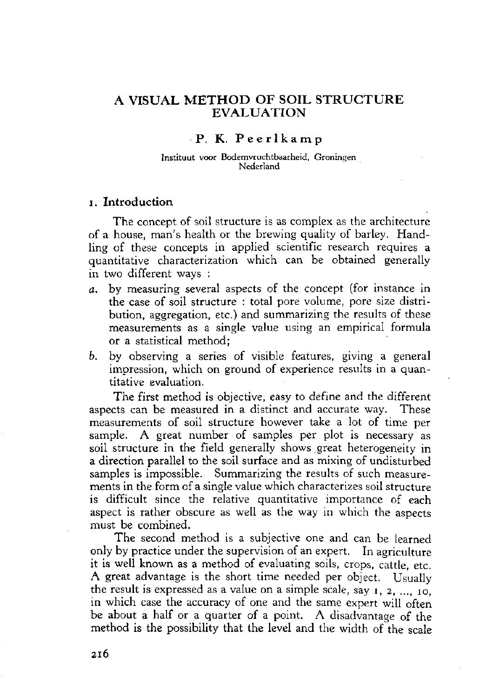# **A VISUAL METHO D O F SOIL STRUCTUR E EVALUATION**

## **P. K. Peerlkam p**

### Instituut voor Bodemvruchtbaarheid, Groningen Nederland

## **i. Introduction**

The concept of soil structure is as complex as the architecture of a house, man's health or the brewing quality of barley. Handling of these concepts in applied scientific research requires a quantitative characterization which can be obtained generally in two different ways :

- *a.* by measuring several aspects of the concept (for instance in the case of soil structure : total pore volume, pore size distribution, aggregation, etc.) and summarizing the results of these measurements as a single value using an empirical formula or a statistical method;
- *b.* by observing a series of visible features, giving a general impression, which on ground of experience results in a quantitative evaluation.

The first method is objective, easy to define and the different aspects can be measured in a distinct and accurate way. These measurements of soil structure however take a lot of time per sample. A great number of samples per plot is necessary as soil structure in the field generally shows great heterogeneity in a direction parallel to the soil surface and as mixing of undisturbed samples is impossible. Summarizing the results of such measurements in the form of a single value which characterizes soil structure is difficult since the relative quantitative importance of each aspect is rather obscure as well as the way in which the aspects must be combined.

The second method is a subjective one and can be learned only by practice under the supervision of an expert. In agriculture it is well known as a method of evaluating soils, crops, cattle, etc. A great advantage is the short time needed per object. Usually the result is expressed as a value on a simple scale, say i, 2, ..., 10, in which case the accuracy of one and the same expert will often be about a half or a quarter of a point. A disadvantage of the method is the possibility that the level and the width of the scale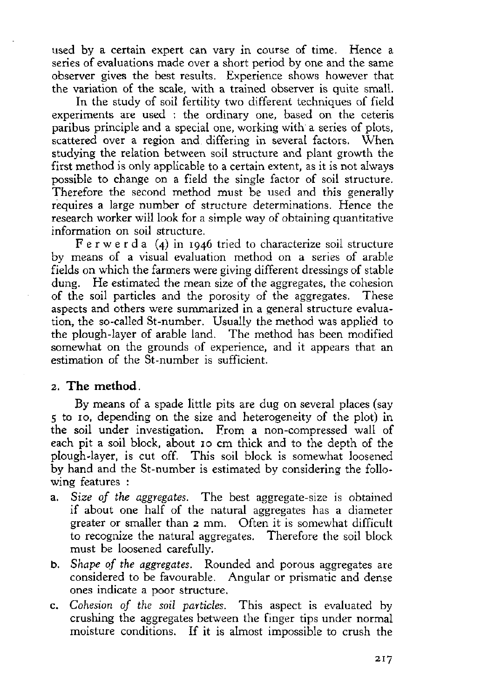used by a certain expert can vary in course of time. Hence a series of evaluations made over a short period by one and the same observer gives the best results. Experience shows however that the variation of the scale, with a trained observer is quite small.

In the study of soil fertility two different techniques of field experiments are used : the ordinary one, based on the ceteris paribus principle and a special one, working with a series of plots, scattered over a region and differing in several factors. When studying the relation between soil structure and plant growth the first method is only applicable to a certain extent, as it is not always possible to change on a field the single factor of soil structure. Therefore the second method must be used and this generally requires a large number of structure determinations. Hence the research worker will look for a simple way of obtaining quantitative information on soil structure.

 $F e r w e r d a$  (4) in 1946 tried to characterize soil structure by means of a visual evaluation method on a series of arable fields on which the farmers were giving different dressings of stable dung. He estimated the mean size of the aggregates, the cohesion of the soil particles and the porosity of the aggregates. These aspects and others were summarized in a general structure evaluation, the so-called St-number. Usually the method was applied to the plough-layer of arable land. The method has been modified somewhat on the grounds of experience, and it appears that an estimation of the St-number is sufficient.

## 2. **The method.**

By means of a spade little pits are dug on several places (say 5 to 10, depending on the size and heterogeneity of the plot) in the soil under investigation. From a non-compressed wall of each pit a soil block, about 10 cm thick and to the depth of the plough-layer, is cut off. This soil block is somewhat loosened by hand and the St-number is estimated by considering the following features :

- a. *Size of the aggregates.* The best aggregate-size is obtained if about one half of the natural aggregates has a diameter greater or smaller than 2 mm. Often it is somewhat difficult to recognize the natural aggregates. Therefore the soil block must be loosened carefully.
- b. *Shape of the aggregates.* Rounded and porous aggregates are considered to be favourable. Angular or prismatic and dense ones indicate a poor structure.
- c. *Cohesion of the soil particles.* This aspect is evaluated by crushing the aggregates between the finger tips under normal moisture conditions. If it is almost impossible to crush the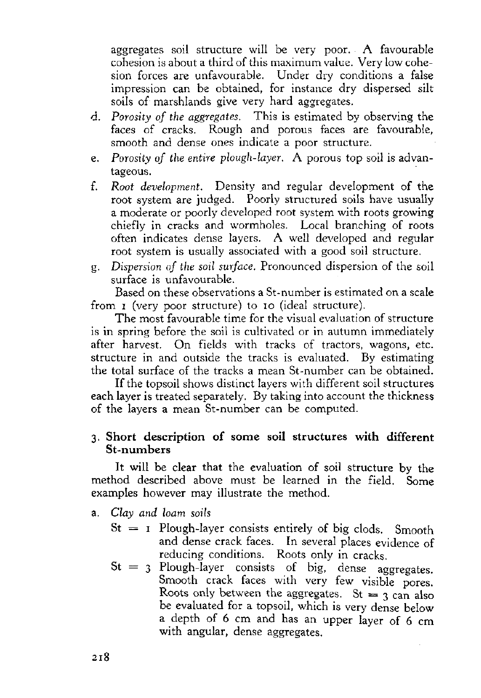aggregates soil structure will be very poor. A favourable cohesion is about a third of this maximum value. Very low cohesion forces are unfavourable. Under dry conditions a false impression can be obtained, for instance dry dispersed silt soils of marshlands give very hard aggregates.

- d. *Porosity of the aggregates.* This is estimated by observing the faces of cracks. Rough and porous faces are favourable, smooth and dense ones indicate a poor structure.
- e. *Porosity of the entire plough-layer.* A porous top soil is advantageous.
- f. *Root development.* Density and regular development of the root system are judged. Poorly structured soils have usually a moderate or poorly developed root system with roots growing chiefly in cracks and wormholes. Local branching of roots often indicates dense layers. A well developed and regular root system is usually associated with a good soil structure.
- g. *Dispersion of the soil surface.* Pronounced dispersion of the soil surface is unfavourable.

Based on these observations a St-number is estimated on a scale from i (very poor structure) to 10 (ideal structure).

The most favourable time for the visual evaluation of structure is in spring before the soil is cultivated or in autumn immediately after harvest. On fields with tracks of tractors, wagons, etc. structure in and outside the tracks is evaluated. By estimating the total surface of the tracks a mean St-number can be obtained.

If the topsoil shows distinct layers with different soil structures each layer is treated separately. By taking into account the thickness of the layers a mean St-number can be computed.

# 3. **Short description of some soil structures with different St-numbers**

It will be clear that the evaluation of soil structure by the method described above must be learned in the field. Some examples however may illustrate the method.

- a. *Clay and loam soils* 
	- $St = I$  Plough-layer consists entirely of big clods. Smooth and dense crack faces. In several places evidence of reducing conditions. Roots only in cracks.
	- $St = 3$  Plough-layer consists of big, dense aggregates. Smooth crack faces with very few visible pores. Roots only between the aggregates. St = 3 can also be evaluated for a topsoil, which is very dense below a depth of 6 cm and has an upper layer of 6 cm with angular, dense aggregates.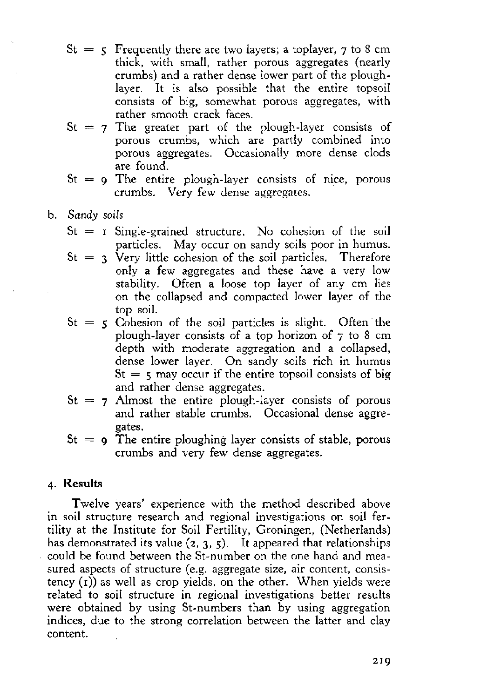- $St = 5$  Frequently there are two layers; a toplayer,  $\frac{1}{2}$  to 8 cm thick, with small, rather porous aggregates (nearly crumbs) and a rather dense lower part of the ploughlayer. It is also possible that the entire topsoil consists of big, somewhat porous aggregates, with rather smooth crack faces.
- $St = 7$  The greater part of the plough-layer consists of porous crumbs, which are partly combined into porous aggregates. Occasionally more dense clods are found.
- $St = 9$  The entire plough-layer consists of nice, porous crumbs. Very few dense aggregates.
- b. *Sandy soils* 
	- $St = r$  Single-grained structure. No cohesion of the soil particles. May occur on sandy soils poor in humus.
	- $St = 3$  Very little cohesion of the soil particles. Therefore only a few aggregates and these have a very low stability. Often a loose top layer of any cm lies on the collapsed and compacted lower layer of the top soil.
	- $St = 5$  Cohesion of the soil particles is slight. Often the plough-layer consists of a top horizon of 7 to 8 cm depth with moderate aggregation and a collapsed, dense lower layer. On sandy soils rich in humus  $St = 5$  may occur if the entire topsoil consists of big and rather dense aggregates.
	- $St = 7$  Almost the entire plough-layer consists of porous and rather stable crumbs. Occasional dense aggregates.
	- $St = 9$  The entire ploughing layer consists of stable, porous crumbs and very few dense aggregates.

# **4. Results**

Twelve years' experience with the method described above in soil structure research and regional investigations on soil fertility at the Institute for Soil Fertility, Groningen, (Netherlands) has demonstrated its value  $(2, 3, 5)$ . It appeared that relationships could be found between the St-number on the one hand and measured aspects of structure (e.g. aggregate size, air content, consistency (1)) as well as crop yields, on the other. When yields were related to soil structure in regional investigations better results were obtained by using St-numbers than by using aggregation indices, due to the strong correlation between the latter and clay content.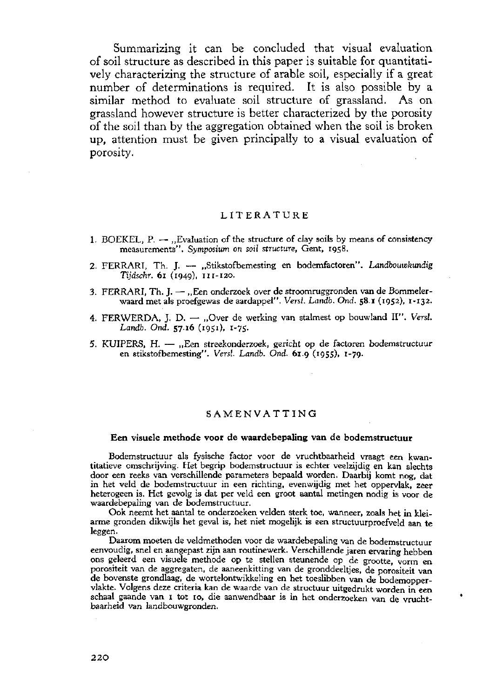Summarizing it can be concluded that visual evaluation of soil structure as described in this paper is suitable for quantitatively characterizing the structure of arable soil, especially if a great number of determinations is required. It is also possible by a similar method to evaluate soil structure of grassland. As on grassland however structure is better characterized by the porosity of the soil than by the aggregation obtained when the soil is broken up, attention must be given principally to a visual evaluation of porosity.

### **LITERATURE**

- 1. BOEKEL,  $P. -$ , Evaluation of the structure of clay soils by means of consistency measurements". *Symposium on soil structure,* Gent, 1958.
- 2. FERRARI, Th. J. "Stikstofbemesting en bodemfactoren". *Landbouwkundig Tijdschr.* 61 (1949), 111-120.
- 3. FERRARI, Th. J. "Een onderzoek over de stroomruggronden van de Bommelerwaard met als proefgewas de aardappel". *Versl. Landb. Ond.* **58.1** (1952), 1-132.
- 4. FERWERDA, J. D. "Over de werking van stalmest op bouwland II". Versl. *Landb. Ond.* **57.16** (1951), 1-75.
- 5. KUIPERS, H. "Een streekonderzoek, gericht op de factoren bodemstructuur en stikstofbemesting". *Versl. Landb. Ond.* **61.9** (1955), 1-79.

### **SAMENVATTING**

#### **Een visuele methode voor de waardebepaling van de bodemstructuur**

Bodemstructuur als fysische factor voor de vruchtbaarheid vraagt een kwantitatieve omschrijving. Het begrip bodemstructuur is echter veelzijdig en kan slechts door een reeks van verschillende parameters bepaald worden. Daarbij komt nog, dat in het veld de bodemstructuur in een richting, evenwijdig met het oppervlak, zeer heterogeen is. Het gevolg is dat per veld een groot aantal metingen nodig is voor de waardebepaling van de bodemstructuur.

Ook neemt het aantal te onderzoeken velden sterk toe, wanneer, zoals het in kleiarme gronden dikwijls het geval is, het niet mogelijk is een structuurproefveld aan te leggen.

Daarom moeten de veldmethoden voor de waardebepaling van de bodemstructuur eenvoudig, snel en aangepast zijn aan routinewerk. Verschillende jaren ervaring hebben ons geleerd een visuele methode op te stellen steunende op de grootte, vorm en porositeit van de aggregaten, de aaneenkitting van de gronddeeltjes, de porositeit van de bovenste grondlaag, de wortelontwikkeling en het toeslibben van de bodemoppervlakte. Volgens deze criteria kan de waarde van de structuur uitgedrukt worden in een schaal gaande van 1 tot 10, die aanwendbaar is in het onderzoeken van de vruchtbaarheid van landbouwgronden.